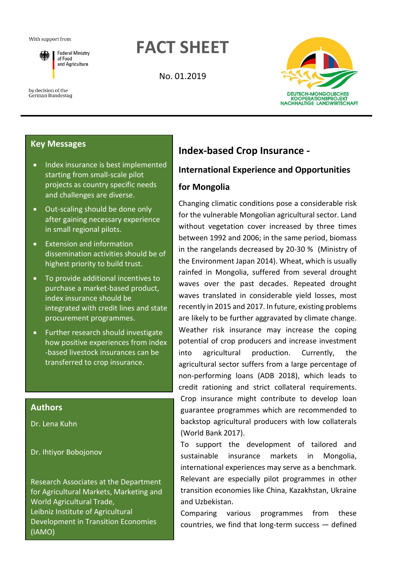#### With support from



by decision of the German Bundestag

# **FACT SHEET**

No. 01.2019



### **Key Messages**

- Index insurance is best implemented starting from small-scale pilot projects as country specific needs and challenges are diverse.
- Out-scaling should be done only after gaining necessary experience in small regional pilots.
- Extension and information dissemination activities should be of highest priority to build trust.
- To provide additional incentives to purchase a market-based product, index insurance should be integrated with credit lines and state procurement programmes.
- Further research should investigate how positive experiences from index -based livestock insurances can be transferred to crop insurance.

### **Authors**

Dr. Lena Kuhn

Dr. Ihtiyor Bobojonov

Research Associates at the Department for Agricultural Markets, Marketing and World Agricultural Trade, Leibniz Institute of Agricultural Development in Transition Economies (IAMO)

## **Index-based Crop Insurance -**

### **International Experience and Opportunities**

### **for Mongolia**

Changing climatic conditions pose a considerable risk for the vulnerable Mongolian agricultural sector. Land without vegetation cover increased by three times between 1992 and 2006; in the same period, biomass in the rangelands decreased by 20-30 % (Ministry of the Environment Japan 2014). Wheat, which is usually rainfed in Mongolia, suffered from several drought waves over the past decades. Repeated drought waves translated in considerable yield losses, most recently in 2015 and 2017. In future, existing problems are likely to be further aggravated by climate change. Weather risk insurance may increase the coping potential of crop producers and increase investment into agricultural production. Currently, the agricultural sector suffers from a large percentage of non-performing loans (ADB 2018), which leads to credit rationing and strict collateral requirements. Crop insurance might contribute to develop loan guarantee programmes which are recommended to backstop agricultural producers with low collaterals (World Bank 2017).

To support the development of tailored and sustainable insurance markets in Mongolia, international experiences may serve as a benchmark. Relevant are especially pilot programmes in other transition economies like China, Kazakhstan, Ukraine and Uzbekistan.

Comparing various programmes from these countries, we find that long-term success — defined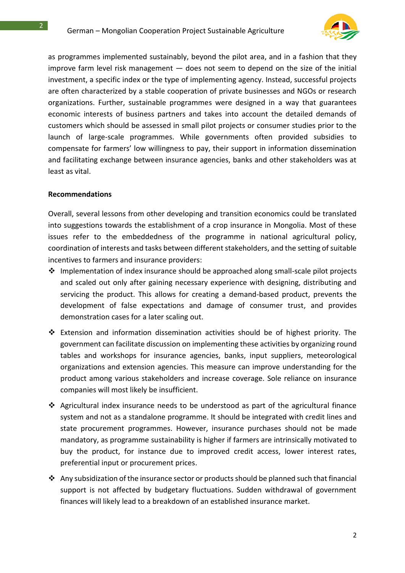2



as programmes implemented sustainably, beyond the pilot area, and in a fashion that they improve farm level risk management  $-$  does not seem to depend on the size of the initial investment, a specific index or the type of implementing agency. Instead, successful projects are often characterized by a stable cooperation of private businesses and NGOs or research organizations. Further, sustainable programmes were designed in a way that guarantees economic interests of business partners and takes into account the detailed demands of customers which should be assessed in small pilot projects or consumer studies prior to the launch of large-scale programmes. While governments often provided subsidies to compensate for farmers' low willingness to pay, their support in information dissemination and facilitating exchange between insurance agencies, banks and other stakeholders was at least as vital.

### **Recommendations**

Overall, several lessons from other developing and transition economics could be translated into suggestions towards the establishment of a crop insurance in Mongolia. Most of these issues refer to the embeddedness of the programme in national agricultural policy, coordination of interests and tasks between different stakeholders, and the setting of suitable incentives to farmers and insurance providers:

- ❖ Implementation of index insurance should be approached along small-scale pilot projects and scaled out only after gaining necessary experience with designing, distributing and servicing the product. This allows for creating a demand-based product, prevents the development of false expectations and damage of consumer trust, and provides demonstration cases for a later scaling out.
- ❖ Extension and information dissemination activities should be of highest priority. The government can facilitate discussion on implementing these activities by organizing round tables and workshops for insurance agencies, banks, input suppliers, meteorological organizations and extension agencies. This measure can improve understanding for the product among various stakeholders and increase coverage. Sole reliance on insurance companies will most likely be insufficient.
- ❖ Agricultural index insurance needs to be understood as part of the agricultural finance system and not as a standalone programme. It should be integrated with credit lines and state procurement programmes. However, insurance purchases should not be made mandatory, as programme sustainability is higher if farmers are intrinsically motivated to buy the product, for instance due to improved credit access, lower interest rates, preferential input or procurement prices.
- ❖ Any subsidization of the insurance sector or products should be planned such that financial support is not affected by budgetary fluctuations. Sudden withdrawal of government finances will likely lead to a breakdown of an established insurance market.